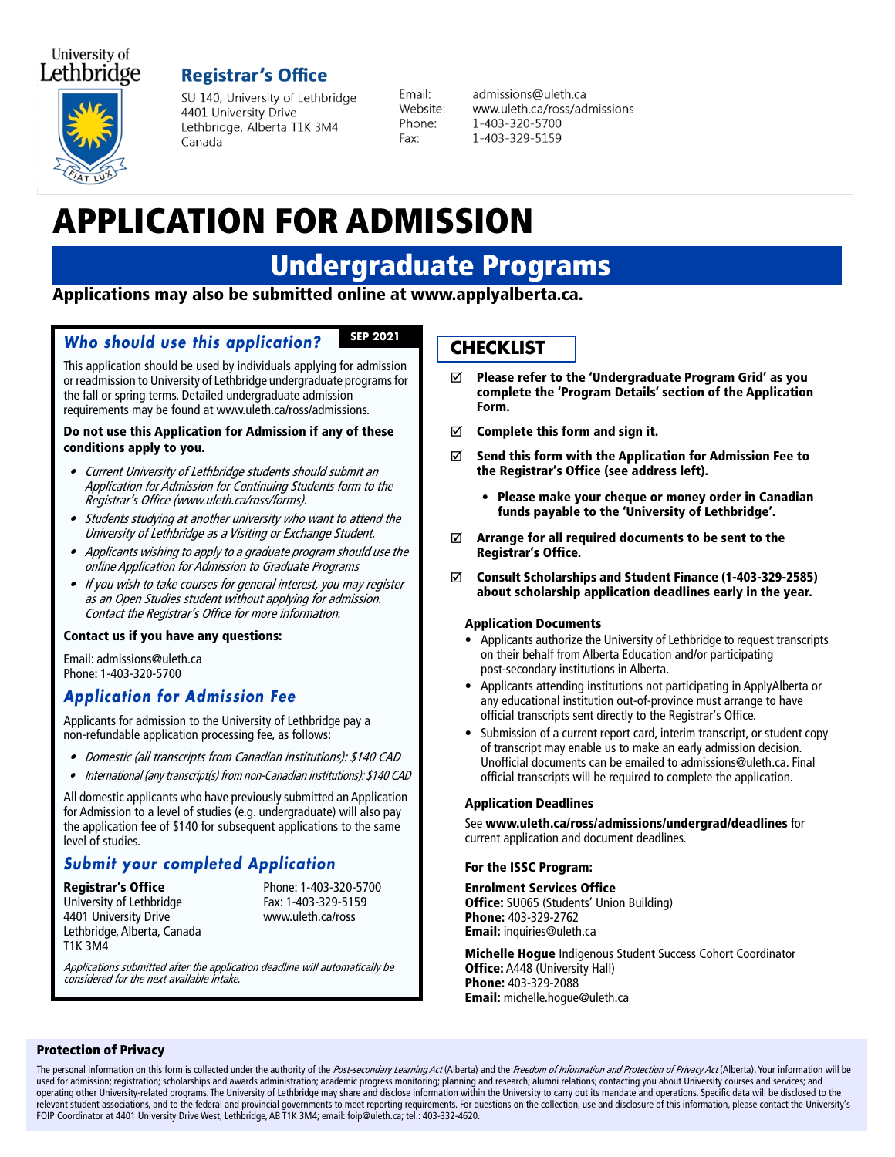### University of Lethbridge

## **Registrar's Office**



SU 140, University of Lethbridge 4401 University Drive Lethbridge, Alberta T1K 3M4 Canada

Fmail: Website: Phone: Fax:

admissions@uleth.ca www.uleth.ca/ross/admissions 1-403-320-5700 1-403-329-5159

# APPLICATION FOR ADMISSION

## Undergraduate Programs

Applications may also be submitted online at www.applyalberta.ca.

#### **Who should use this application? SEP 2021**

This application should be used by individuals applying for admission or readmission to University of Lethbridge undergraduate programs for the fall or spring terms. Detailed undergraduate admission requirements may be found at www.uleth.ca/ross/admissions.

#### Do not use this Application for Admission if any of these conditions apply to you.

- • Current University of Lethbridge students should submit an Application for Admission for Continuing Students form to the Registrar's Office (www.uleth.ca/ross/forms).
- • Students studying at another university who want to attend the University of Lethbridge as a Visiting or Exchange Student.
- • Applicants wishing to apply to a graduate program should use the online Application for Admission to Graduate Programs
- • If you wish to take courses for general interest, you may register as an Open Studies student without applying for admission. Contact the Registrar's Office for more information.

#### Contact us if you have any questions:

Email: admissions@uleth.ca Phone: 1-403-320-5700

## **Application for Admission Fee**

Applicants for admission to the University of Lethbridge pay a non-refundable application processing fee, as follows:

- Domestic (all transcripts from Canadian institutions): \$140 CAD
- •International (any transcript(s) from non-Canadian institutions): \$140 CAD

All domestic applicants who have previously submitted an Application for Admission to a level of studies (e.g. undergraduate) will also pay the application fee of \$140 for subsequent applications to the same level of studies.

## **Submit your completed Application**

**Registrar's Office** Phone: 1-403-320-5700<br>
University of Lethbridge **Phone: 1-403-329-5159** University of Lethbridge 4401 University Drive www.uleth.ca/ross Lethbridge, Alberta, Canada T1K 3M4

Applications submitted after the application deadline will automatically be considered for the next available intake.

## **CHECKLIST**

- $\boxtimes$  Please refer to the 'Undergraduate Program Grid' as you complete the 'Program Details' section of the Application Form.
- $\boxtimes$  Complete this form and sign it.
- $\boxtimes$  Send this form with the Application for Admission Fee to the Registrar's Office (see address left).
	- Please make your cheque or money order in Canadian funds payable to the 'University of Lethbridge'.
- $\boxtimes$  Arrange for all required documents to be sent to the Registrar's Office.
- Consult Scholarships and Student Finance (1-403-329-2585) about scholarship application deadlines early in the year.

#### Application Documents

- Applicants authorize the University of Lethbridge to request transcripts on their behalf from Alberta Education and/or participating post-secondary institutions in Alberta.
- Applicants attending institutions not participating in ApplyAlberta or any educational institution out-of-province must arrange to have official transcripts sent directly to the Registrar's Office.
- Submission of a current report card, interim transcript, or student copy of transcript may enable us to make an early admission decision. Unofficial documents can be emailed to admissions@uleth.ca. Final official transcripts will be required to complete the application.

#### Application Deadlines

See www.uleth.ca/ross/admissions/undergrad/deadlines for current application and document deadlines.

#### For the ISSC Program:

Enrolment Services Office Office: SU065 (Students' Union Building) Phone: 403-329-2762 Email: inquiries@uleth.ca

Michelle Hogue Indigenous Student Success Cohort Coordinator **Office: A448 (University Hall)** Phone: 403-329-2088 Email: michelle.hogue@uleth.ca

#### Protection of Privacy

The personal information on this form is collected under the authority of the Post-secondary Learning Act (Alberta) and the Freedom of Information and Protection of Privacy Act (Alberta). Your information will be used for admission; registration; scholarships and awards administration; academic progress monitoring; planning and research; alumni relations; contacting you about University courses and services; and operating other University-related programs. The University of Lethbridge may share and disclose information within the University to carry out its mandate and operations. Specific data will be disclosed to the<br>relevant st FOIP Coordinator at 4401 University Drive West, Lethbridge, AB T1K 3M4; email: foip@uleth.ca; tel.: 403-332-4620.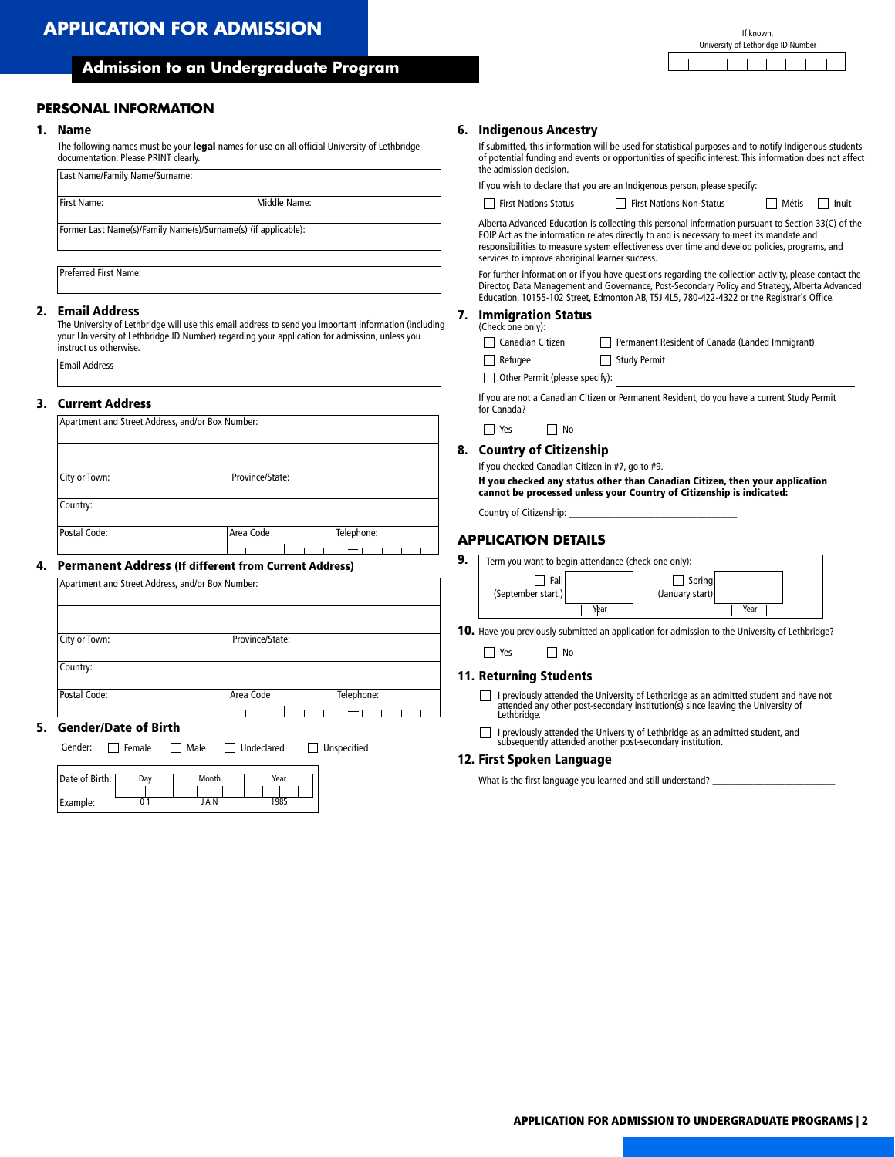#### **Admission to an Undergraduate Program**

#### **PERSONAL INFORMATION**

#### 1. Name

The following names must be your legal names for use on all official University of Lethbridge documentation. Please PRINT clearly.

| First Name: | Middle Name:                                                   |  |
|-------------|----------------------------------------------------------------|--|
|             | Former Last Name(s)/Family Name(s)/Surname(s) (if applicable): |  |

Preferred First Name:

#### 2. Email Address

The University of Lethbridge will use this email address to send you important information (including your University of Lethbridge ID Number) regarding your application for admission, unless you instruct us otherwise.

## 3. Current Address 4. Permanent Address (If different from Current Address) 5. Gender/Date of Birth Apartment and Street Address, and/or Box Number: City or Town: Province/State: Country: Postal Code: and Telephone: Area Code Telephone: Apartment and Street Address, and/or Box Number: City or Town: Province/State: Country: Postal Code: Area Code Telephone:

Gender: Female Male JUndeclared JUnspecified

| Date of Birth: | Day | Month | Year |
|----------------|-----|-------|------|
|                |     |       |      |
| Example:       |     | J A N | 1985 |

#### 6. Indigenous Ancestry

If submitted, this information will be used for statistical purposes and to notify Indigenous students of potential funding and events or opportunities of specific interest. This information does not affect the admission decision.

If you wish to declare that you are an Indigenous person, please specify:

| יוואס כווטוואז וונווו |  |  |  |
|-----------------------|--|--|--|
|                       |  |  |  |
|                       |  |  |  |

| $\sim$ $\sim$ |  |  | $\cdot$ $ \cdot$ |  |  |
|---------------|--|--|------------------|--|--|

| n Advanced Educat |  |
|-------------------|--|

|  |  |  | a Advanced Educati |
|--|--|--|--------------------|

|  | Advanced Education i |  |
|--|----------------------|--|
|  |                      |  |

services to improve aboriginal learner success.

| Alberta Advanced Education is collecting this personal information pursuant to Section 33(C) of the |
|-----------------------------------------------------------------------------------------------------|
| FOIP Act as the information relates directly to and is necessary to meet its mandate and            |
| responsibilities to measure system effectiveness over time and develop policies, programs, and      |

For further information or if you have questions regarding the collection activity, please contact the Director, Data Management and Governance, Post-Secondary Policy and Strategy, Alberta Advanced Education, 10155-102 Street, Edmonton AB, T5J 4L5, 780-422-4322 or the Registrar's Office.

#### 7. Immigration Status

| (Check one only):          |                                                 |
|----------------------------|-------------------------------------------------|
| $\Box$ Canadian Citizen    | Permanent Resident of Canada (Landed Immigrant) |
| $\overline{\phantom{a}}$ . | ---                                             |

Refugee Study Permit

Other Permit (please specify):

If you are not a Canadian Citizen or Permanent Resident, do you have a current Study Permit for Canada?

|  | N٥ |
|--|----|
|  |    |

#### 8. Country of Citizenship

If you checked Canadian Citizen in #7, go to #9.

If you checked any status other than Canadian Citizen, then your application cannot be processed unless your Country of Citizenship is indicated:

Country of Citizenship:

#### **APPLICATION DETAILS**

| 9. | Term you want to begin attendance (check one only): |                                   |  |  |  |
|----|-----------------------------------------------------|-----------------------------------|--|--|--|
|    | Fall<br>(September start.)<br>Year                  | Spring<br>(January start)<br>Year |  |  |  |

10. Have you previously submitted an application for admission to the University of Lethbridge?

■ Yes ■ No

#### 11. Returning Students

I previously attended the University of Lethbridge as an admitted student and have not attended any other post-secondary institution(s) since leaving the University of Lethbridge.

I previously attended the University of Lethbridge as an admitted student, and subsequently attended another post-secondary institution.

#### 12. First Spoken Language

What is the first language you learned and still understand?

If known, University of Lethbridge ID Number

First Nations Non-Status Metis Inuit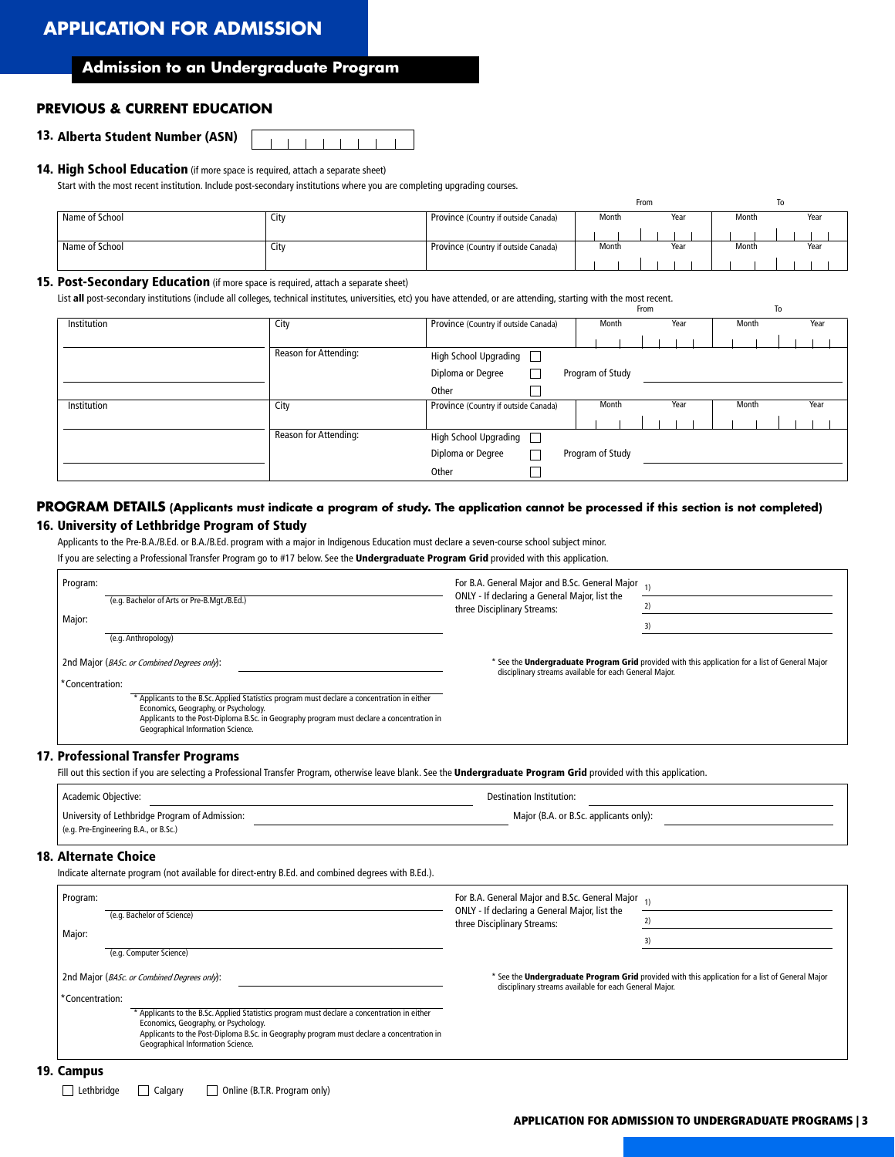### **APPLICATION FOR ADMISSION**

#### **Admission to an Undergraduate Program**

#### **PREVIOUS & CURRENT EDUCATION**

#### 13. Alberta Student Number (ASN)

#### 14. High School Education (if more space is required, attach a separate sheet)

Start with the most recent institution. Include post-secondary institutions where you are completing upgrading courses.

|                |      |                                      |       | From |       | 10   |
|----------------|------|--------------------------------------|-------|------|-------|------|
| Name of School | City | Province (Country if outside Canada) | Month | Year | Month | Year |
|                |      |                                      |       |      |       |      |
| Name of School | City | Province (Country if outside Canada) | Month | Year | Month | Year |
|                |      |                                      |       |      |       |      |

#### 15. Post-Secondary Education (if more space is required, attach a separate sheet)

List all post-secondary institutions (include all colleges, technical institutes, universities, etc) you have attended, or are attending, starting with the most recent.

|             |                              |                                      |        |                  | From |      |       | To   |
|-------------|------------------------------|--------------------------------------|--------|------------------|------|------|-------|------|
| Institution | City                         | Province (Country if outside Canada) |        | Month            |      | Year | Month | Year |
|             |                              |                                      |        |                  |      |      |       |      |
|             | <b>Reason for Attending:</b> | High School Upgrading                |        |                  |      |      |       |      |
|             |                              | Diploma or Degree                    |        | Program of Study |      |      |       |      |
|             |                              | Other                                |        |                  |      |      |       |      |
| Institution | City                         | Province (Country if outside Canada) |        | Month            |      | Year | Month | Year |
|             |                              |                                      |        |                  |      |      |       |      |
|             | <b>Reason for Attending:</b> | High School Upgrading                | $\Box$ |                  |      |      |       |      |
|             |                              | Diploma or Degree                    |        | Program of Study |      |      |       |      |
|             |                              | Other                                |        |                  |      |      |       |      |

#### **PROGRAM DETAILS (Applicants must indicate a program of study. The application cannot be processed if this section is not completed)** 16. University of Lethbridge Program of Study

Applicants to the Pre-B.A./B.Ed. or B.A./B.Ed. program with a major in Indigenous Education must declare a seven-course school subject minor.

If you are selecting a Professional Transfer Program go to #17 below. See the Undergraduate Program Grid provided with this application.

| Program:        |                                                                                                                                     | For B.A. General Major and B.Sc. General Major <sub>1)</sub>                 |                                                                                                 |  |
|-----------------|-------------------------------------------------------------------------------------------------------------------------------------|------------------------------------------------------------------------------|-------------------------------------------------------------------------------------------------|--|
| Major:          | (e.g. Bachelor of Arts or Pre-B.Mgt./B.Ed.)                                                                                         | ONLY - If declaring a General Major, list the<br>three Disciplinary Streams: |                                                                                                 |  |
|                 |                                                                                                                                     |                                                                              |                                                                                                 |  |
|                 | (e.g. Anthropology)                                                                                                                 |                                                                              |                                                                                                 |  |
|                 | 2nd Major (BASc. or Combined Degrees only):                                                                                         | disciplinary streams available for each General Major.                       | * See the Undergraduate Program Grid provided with this application for a list of General Major |  |
| *Concentration: |                                                                                                                                     |                                                                              |                                                                                                 |  |
|                 | * Applicants to the B.Sc. Applied Statistics program must declare a concentration in either<br>Economics, Geography, or Psychology. |                                                                              |                                                                                                 |  |
|                 | Applicants to the Post-Diploma B.Sc. in Geography program must declare a concentration in<br>Geographical Information Science.      |                                                                              |                                                                                                 |  |
|                 | <b>Professional Transfer Programs</b>                                                                                               |                                                                              |                                                                                                 |  |

17. Professional Transfer Programs

Fill out this section if you are selecting a Professional Transfer Program, otherwise leave blank. See the Undergraduate Program Grid provided with this application.

| Academic Objective:                            | Destination Institution:               |  |
|------------------------------------------------|----------------------------------------|--|
| University of Lethbridge Program of Admission: | Major (B.A. or B.Sc. applicants only): |  |
| (e.g. Pre-Engineering B.A., or B.Sc.)          |                                        |  |

#### 18. Alternate Choice

Indicate alternate program (not available for direct-entry B.Ed. and combined degrees with B.Ed.).

| Program:                                    | For B.A. General Major and B.Sc. General Major <sub>1)</sub><br>ONLY - If declaring a General Major, list the<br>three Disciplinary Streams: |                                                                                                 |
|---------------------------------------------|----------------------------------------------------------------------------------------------------------------------------------------------|-------------------------------------------------------------------------------------------------|
| (e.g. Bachelor of Science)                  |                                                                                                                                              |                                                                                                 |
| Major:                                      |                                                                                                                                              | 3)                                                                                              |
| (e.g. Computer Science)                     |                                                                                                                                              |                                                                                                 |
| 2nd Major (BASc. or Combined Degrees only): | disciplinary streams available for each General Major.                                                                                       | * See the Undergraduate Program Grid provided with this application for a list of General Major |
| *Concentration:                             |                                                                                                                                              |                                                                                                 |
|                                             |                                                                                                                                              |                                                                                                 |
|                                             |                                                                                                                                              |                                                                                                 |

#### 19. Campus

Lethbridge **Calgary D** Online (B.T.R. Program only)